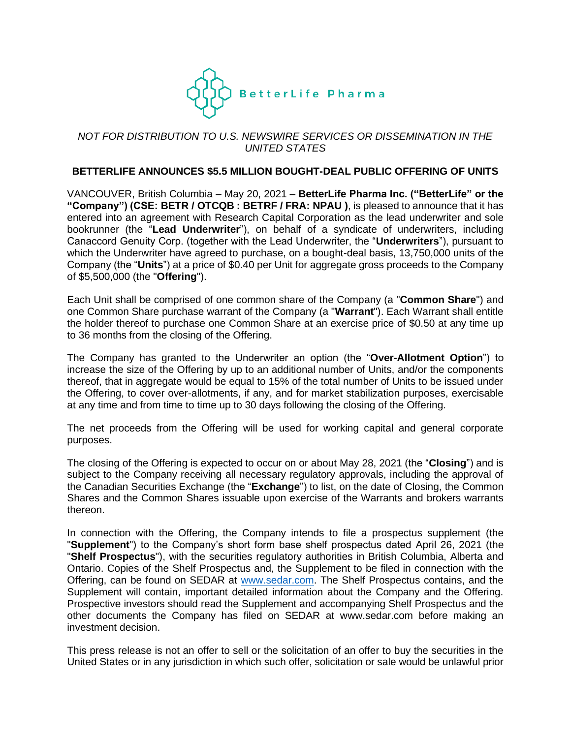

# *NOT FOR DISTRIBUTION TO U.S. NEWSWIRE SERVICES OR DISSEMINATION IN THE UNITED STATES*

#### **BETTERLIFE ANNOUNCES \$5.5 MILLION BOUGHT-DEAL PUBLIC OFFERING OF UNITS**

VANCOUVER, British Columbia – May 20, 2021 – **BetterLife Pharma Inc. ("BetterLife" or the "Company") (CSE: BETR / OTCQB : BETRF / FRA: NPAU )**, is pleased to announce that it has entered into an agreement with Research Capital Corporation as the lead underwriter and sole bookrunner (the "**Lead Underwriter**"), on behalf of a syndicate of underwriters, including Canaccord Genuity Corp. (together with the Lead Underwriter, the "**Underwriters**"), pursuant to which the Underwriter have agreed to purchase, on a bought-deal basis, 13,750,000 units of the Company (the "**Units**") at a price of \$0.40 per Unit for aggregate gross proceeds to the Company of \$5,500,000 (the "**Offering**").

Each Unit shall be comprised of one common share of the Company (a "**Common Share**") and one Common Share purchase warrant of the Company (a "**Warrant**"). Each Warrant shall entitle the holder thereof to purchase one Common Share at an exercise price of \$0.50 at any time up to 36 months from the closing of the Offering.

The Company has granted to the Underwriter an option (the "**Over-Allotment Option**") to increase the size of the Offering by up to an additional number of Units, and/or the components thereof, that in aggregate would be equal to 15% of the total number of Units to be issued under the Offering, to cover over-allotments, if any, and for market stabilization purposes, exercisable at any time and from time to time up to 30 days following the closing of the Offering.

The net proceeds from the Offering will be used for working capital and general corporate purposes.

The closing of the Offering is expected to occur on or about May 28, 2021 (the "**Closing**") and is subject to the Company receiving all necessary regulatory approvals, including the approval of the Canadian Securities Exchange (the "**Exchange**") to list, on the date of Closing, the Common Shares and the Common Shares issuable upon exercise of the Warrants and brokers warrants thereon.

In connection with the Offering, the Company intends to file a prospectus supplement (the "**Supplement**") to the Company's short form base shelf prospectus dated April 26, 2021 (the "**Shelf Prospectus**"), with the securities regulatory authorities in British Columbia, Alberta and Ontario. Copies of the Shelf Prospectus and, the Supplement to be filed in connection with the Offering, can be found on SEDAR at [www.sedar.com.](http://www.sedar.com/) The Shelf Prospectus contains, and the Supplement will contain, important detailed information about the Company and the Offering. Prospective investors should read the Supplement and accompanying Shelf Prospectus and the other documents the Company has filed on SEDAR at www.sedar.com before making an investment decision.

This press release is not an offer to sell or the solicitation of an offer to buy the securities in the United States or in any jurisdiction in which such offer, solicitation or sale would be unlawful prior